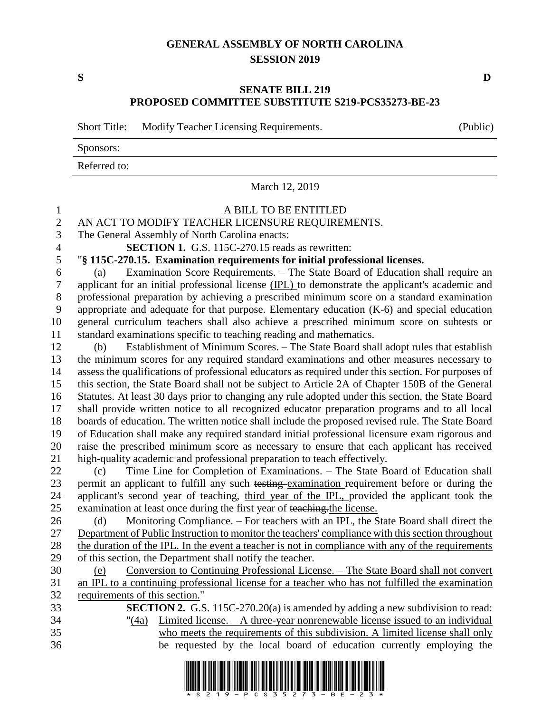## **GENERAL ASSEMBLY OF NORTH CAROLINA SESSION 2019**

**S D**

## **SENATE BILL 219 PROPOSED COMMITTEE SUBSTITUTE S219-PCS35273-BE-23**

Short Title: Modify Teacher Licensing Requirements. (Public)

Sponsors:

Referred to:

March 12, 2019

## A BILL TO BE ENTITLED 2 AN ACT TO MODIFY TEACHER LICENSURE REQUIREMENTS.<br>3 The General Assembly of North Carolina enacts: The General Assembly of North Carolina enacts: **SECTION 1.** G.S. 115C-270.15 reads as rewritten: "**§ 115C-270.15. Examination requirements for initial professional licenses.** (a) Examination Score Requirements. – The State Board of Education shall require an applicant for an initial professional license (IPL) to demonstrate the applicant's academic and professional preparation by achieving a prescribed minimum score on a standard examination appropriate and adequate for that purpose. Elementary education (K-6) and special education general curriculum teachers shall also achieve a prescribed minimum score on subtests or standard examinations specific to teaching reading and mathematics. (b) Establishment of Minimum Scores. – The State Board shall adopt rules that establish the minimum scores for any required standard examinations and other measures necessary to assess the qualifications of professional educators as required under this section. For purposes of this section, the State Board shall not be subject to Article 2A of Chapter 150B of the General Statutes. At least 30 days prior to changing any rule adopted under this section, the State Board shall provide written notice to all recognized educator preparation programs and to all local boards of education. The written notice shall include the proposed revised rule. The State Board of Education shall make any required standard initial professional licensure exam rigorous and raise the prescribed minimum score as necessary to ensure that each applicant has received high-quality academic and professional preparation to teach effectively. (c) Time Line for Completion of Examinations. – The State Board of Education shall 23 permit an applicant to fulfill any such testing examination requirement before or during the 24 applicant's second year of teaching, third year of the IPL, provided the applicant took the examination at least once during the first year of teaching.the license. 26 (d) Monitoring Compliance. – For teachers with an IPL, the State Board shall direct the Department of Public Instruction to monitor the teachers' compliance with this section throughout the duration of the IPL. In the event a teacher is not in compliance with any of the requirements of this section, the Department shall notify the teacher. (e) Conversion to Continuing Professional License. – The State Board shall not convert an IPL to a continuing professional license for a teacher who has not fulfilled the examination requirements of this section." **SECTION 2.** G.S. 115C-270.20(a) is amended by adding a new subdivision to read: "(4a) Limited license. – A three-year nonrenewable license issued to an individual who meets the requirements of this subdivision. A limited license shall only be requested by the local board of education currently employing the